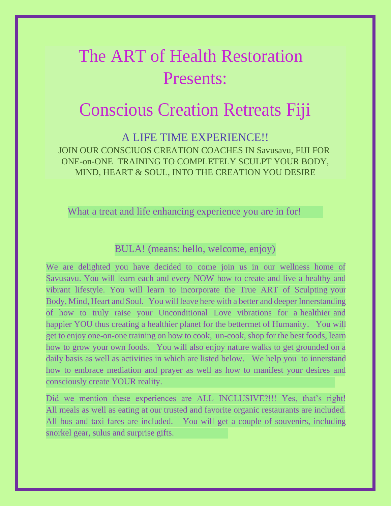# The ART of Health Restoration Presents:

## Conscious Creation Retreats Fiji

A LIFE TIME EXPERIENCE!! JOIN OUR CONSCIUOS CREATION COACHES IN Savusavu, FIJI FOR ONE-on-ONE TRAINING TO COMPLETELY SCULPT YOUR BODY, MIND, HEART & SOUL, INTO THE CREATION YOU DESIRE

What a treat and life enhancing experience you are in for!

#### BULA! (means: hello, welcome, enjoy)

We are delighted you have decided to come join us in our wellness home of Savusavu. You will learn each and every NOW how to create and live a healthy and vibrant lifestyle. You will learn to incorporate the True ART of Sculpting your Body, Mind, Heart and Soul. You will leave here with a better and deeper Innerstanding of how to truly raise your Unconditional Love vibrations for a healthier and happier YOU thus creating a healthier planet for the bettermet of Humanity. You will get to enjoy one-on-one training on how to cook, un-cook, shop for the best foods, learn how to grow your own foods. You will also enjoy nature walks to get grounded on a daily basis as well as activities in which are listed below. We help you to innerstand how to embrace mediation and prayer as well as how to manifest your desires and consciously create YOUR reality.

Did we mention these experiences are ALL INCLUSIVE?!!! Yes, that's right! All meals as well as eating at our trusted and favorite organic restaurants are included. All bus and taxi fares are included. You will get a couple of souvenirs, including snorkel gear, sulus and surprise gifts.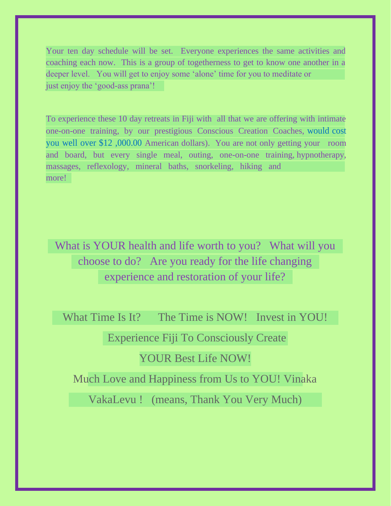Your ten day schedule will be set. Everyone experiences the same activities and coaching each now. This is a group of togetherness to get to know one another in a deeper level. You will get to enjoy some 'alone' time for you to meditate or just enjoy the 'good-ass prana'!

To experience these 10 day retreats in Fiji with all that we are offering with intimate one-on-one training, by our prestigious Conscious Creation Coaches, would cost you well over \$12 ,000.00 American dollars). You are not only getting your room and board, but every single meal, outing, one-on-one training, hypnotherapy, massages, reflexology, mineral baths, snorkeling, hiking and more!

What is YOUR health and life worth to you? What will you choose to do? Are you ready for the life changing experience and restoration of your life?

What Time Is It? The Time is NOW! Invest in YOU!

Experience Fiji To Consciously Create

YOUR Best Life NOW!

Much Love and Happiness from Us to YOU! Vinaka

VakaLevu ! (means, Thank You Very Much)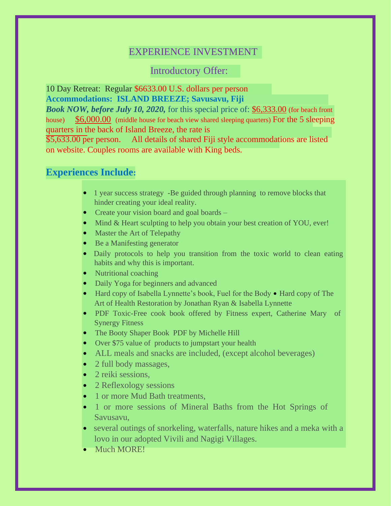## EXPERIENCE INVESTMENT

Introductory Offer:

10 Day Retreat: Regular \$6633.00 U.S. dollars per person **Accommodations: ISLAND BREEZE; Savusavu, Fiji**

*Book NOW, before July 10, 2020,* for this special price of: \$6,333.00 (for beach front house) \$6,000.00 (middle house for beach view shared sleeping quarters) For the 5 sleeping quarters in the back of Island Breeze, the rate is

\$5,633.00 per person. All details of shared Fiji style accommodations are listed on website. Couples rooms are available with King beds.

#### **Experiences Include:**

- 1 year success strategy -Be guided through planning to remove blocks that hinder creating your ideal reality.
- Create your vision board and goal boards –
- Mind & Heart sculpting to help you obtain your best creation of YOU, ever!
- Master the Art of Telepathy
- Be a Manifesting generator
- Daily protocols to help you transition from the toxic world to clean eating habits and why this is important.
- Nutritional coaching
- Daily Yoga for beginners and advanced
- Hard copy of Isabella Lynnette's book, Fuel for the Body Hard copy of The Art of Health Restoration by Jonathan Ryan & Isabella Lynnette
- PDF Toxic-Free cook book offered by Fitness expert, Catherine Mary of Synergy Fitness
- The Booty Shaper Book PDF by Michelle Hill
- Over \$75 value of products to jumpstart your health
- ALL meals and snacks are included, (except alcohol beverages)
- 2 full body massages,
- 2 reiki sessions.
- 2 Reflexology sessions
- 1 or more Mud Bath treatments,
- 1 or more sessions of Mineral Baths from the Hot Springs of Savusavu,
- several outings of snorkeling, waterfalls, nature hikes and a meka with a lovo in our adopted Vivili and Nagigi Villages.
- Much MORE!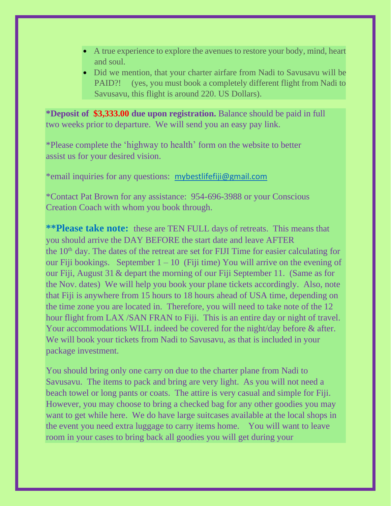- A true experience to explore the avenues to restore your body, mind, heart and soul.
- Did we mention, that your charter airfare from Nadi to Savusavu will be PAID?! (yes, you must book a completely different flight from Nadi to Savusavu, this flight is around 220. US Dollars).

**\*Deposit of \$3,333.00 due upon registration.** Balance should be paid in full two weeks prior to departure. We will send you an easy pay link.

\*Please complete the 'highway to health' form on the website to better assist us for your desired vision.

\*email inquiries for any questions: [mybestlifefiji@gmail.com](mailto:mybestlifefiji@gmail.com)

\*Contact Pat Brown for any assistance: 954-696-3988 or your Conscious Creation Coach with whom you book through.

**\*\*Please take note:** these are TEN FULL days of retreats. This means that you should arrive the DAY BEFORE the start date and leave AFTER the  $10<sup>th</sup>$  day. The dates of the retreat are set for FIJI Time for easier calculating for our Fiji bookings. September  $1 - 10$  (Fiji time) You will arrive on the evening of our Fiji, August 31 & depart the morning of our Fiji September 11. (Same as for the Nov. dates) We will help you book your plane tickets accordingly. Also, note that Fiji is anywhere from 15 hours to 18 hours ahead of USA time, depending on the time zone you are located in. Therefore, you will need to take note of the 12 hour flight from LAX /SAN FRAN to Fiji. This is an entire day or night of travel. Your accommodations WILL indeed be covered for the night/day before & after. We will book your tickets from Nadi to Savusavu, as that is included in your package investment.

You should bring only one carry on due to the charter plane from Nadi to Savusavu. The items to pack and bring are very light. As you will not need a beach towel or long pants or coats. The attire is very casual and simple for Fiji. However, you may choose to bring a checked bag for any other goodies you may want to get while here. We do have large suitcases available at the local shops in the event you need extra luggage to carry items home. You will want to leave room in your cases to bring back all goodies you will get during your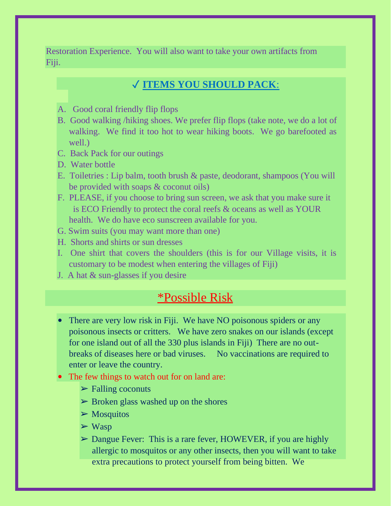Restoration Experience. You will also want to take your own artifacts from Fiji.

### ✓ **ITEMS YOU SHOULD PACK**:

- A. Good coral friendly flip flops
- B. Good walking /hiking shoes. We prefer flip flops (take note, we do a lot of walking. We find it too hot to wear hiking boots. We go barefooted as well.)
- C. Back Pack for our outings
- D. Water bottle
- E. Toiletries : Lip balm, tooth brush & paste, deodorant, shampoos (You will be provided with soaps & coconut oils)
- F. PLEASE, if you choose to bring sun screen, we ask that you make sure it is ECO Friendly to protect the coral reefs & oceans as well as YOUR health. We do have eco sunscreen available for you.
- G. Swim suits (you may want more than one)
- H. Shorts and shirts or sun dresses
- I. One shirt that covers the shoulders (this is for our Village visits, it is customary to be modest when entering the villages of Fiji)
- J. A hat & sun-glasses if you desire

## \*Possible Risk

- There are very low risk in Fiji. We have NO poisonous spiders or any poisonous insects or critters. We have zero snakes on our islands (except for one island out of all the 330 plus islands in Fiji) There are no outbreaks of diseases here or bad viruses. No vaccinations are required to enter or leave the country.
- The few things to watch out for on land are:
	- $\triangleright$  Falling coconuts
	- $\triangleright$  Broken glass washed up on the shores
	- $\triangleright$  Mosquitos
	- $\triangleright$  Wasp
	- ➢ Dangue Fever: This is a rare fever, HOWEVER, if you are highly allergic to mosquitos or any other insects, then you will want to take extra precautions to protect yourself from being bitten. We